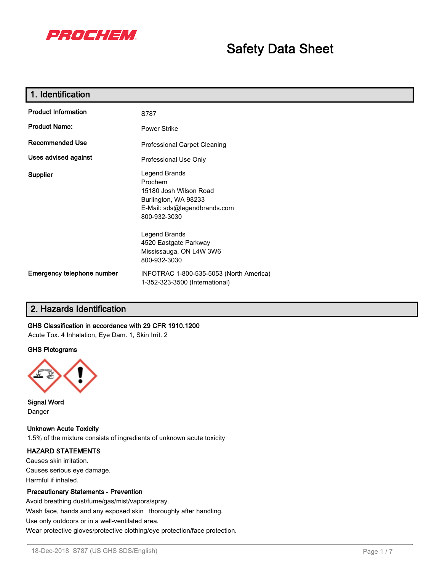

# **Safety Data Sheet**

| 1. Identification          |                                                                                                                            |
|----------------------------|----------------------------------------------------------------------------------------------------------------------------|
| <b>Product Information</b> | S787                                                                                                                       |
| <b>Product Name:</b>       | <b>Power Strike</b>                                                                                                        |
| <b>Recommended Use</b>     | Professional Carpet Cleaning                                                                                               |
| Uses advised against       | Professional Use Only                                                                                                      |
| Supplier                   | Legend Brands<br>Prochem<br>15180 Josh Wilson Road<br>Burlington, WA 98233<br>E-Mail: sds@legendbrands.com<br>800-932-3030 |
|                            | Legend Brands<br>4520 Eastgate Parkway<br>Mississauga, ON L4W 3W6<br>800-932-3030                                          |
| Emergency telephone number | INFOTRAC 1-800-535-5053 (North America)<br>1-352-323-3500 (International)                                                  |

# **2. Hazards Identification**

### **GHS Classification in accordance with 29 CFR 1910.1200**

Acute Tox. 4 Inhalation, Eye Dam. 1, Skin Irrit. 2

#### **GHS Pictograms**



**Signal Word** Danger

#### **Unknown Acute Toxicity**

1.5% of the mixture consists of ingredients of unknown acute toxicity

#### **HAZARD STATEMENTS**

Causes skin irritation. Causes serious eye damage. Harmful if inhaled.

#### **Precautionary Statements - Prevention**

Avoid breathing dust/fume/gas/mist/vapors/spray. Wash face, hands and any exposed skin thoroughly after handling. Use only outdoors or in a well-ventilated area. Wear protective gloves/protective clothing/eye protection/face protection.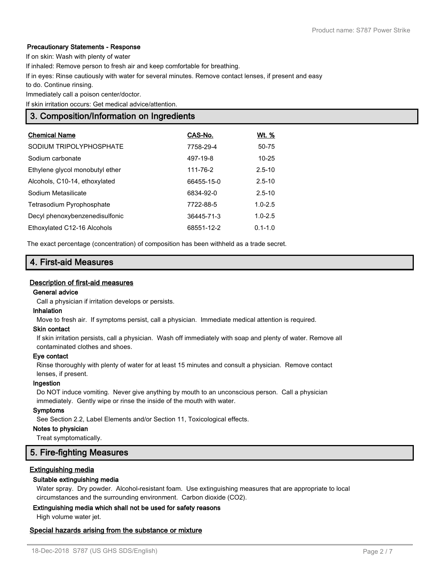#### **Precautionary Statements - Response**

If on skin: Wash with plenty of water

If inhaled: Remove person to fresh air and keep comfortable for breathing.

If in eyes: Rinse cautiously with water for several minutes. Remove contact lenses, if present and easy

to do. Continue rinsing.

Immediately call a poison center/doctor.

If skin irritation occurs: Get medical advice/attention.

# **3. Composition/Information on Ingredients**

| <b>Chemical Name</b>            | CAS-No.    | Wt. %       |
|---------------------------------|------------|-------------|
| SODIUM TRIPOLYPHOSPHATE         | 7758-29-4  | 50-75       |
| Sodium carbonate                | 497-19-8   | $10 - 25$   |
| Ethylene glycol monobutyl ether | 111-76-2   | $2.5 - 10$  |
| Alcohols, C10-14, ethoxylated   | 66455-15-0 | $2.5 - 10$  |
| Sodium Metasilicate             | 6834-92-0  | $2.5 - 10$  |
| Tetrasodium Pyrophosphate       | 7722-88-5  | $1.0 - 2.5$ |
| Decyl phenoxybenzenedisulfonic  | 36445-71-3 | $1.0 - 2.5$ |
| Ethoxylated C12-16 Alcohols     | 68551-12-2 | $0.1 - 1.0$ |

The exact percentage (concentration) of composition has been withheld as a trade secret.

# **4. First-aid Measures**

#### **Description of first-aid measures**

#### **General advice**

Call a physician if irritation develops or persists.

#### **Inhalation**

Move to fresh air. If symptoms persist, call a physician. Immediate medical attention is required.

#### **Skin contact**

If skin irritation persists, call a physician. Wash off immediately with soap and plenty of water. Remove all contaminated clothes and shoes.

#### **Eye contact**

Rinse thoroughly with plenty of water for at least 15 minutes and consult a physician. Remove contact lenses, if present.

#### **Ingestion**

Do NOT induce vomiting. Never give anything by mouth to an unconscious person. Call a physician immediately. Gently wipe or rinse the inside of the mouth with water.

#### **Symptoms**

See Section 2.2, Label Elements and/or Section 11, Toxicological effects.

#### **Notes to physician**

Treat symptomatically.

# **5. Fire-fighting Measures**

#### **Extinguishing media**

#### **Suitable extinguishing media**

Water spray. Dry powder. Alcohol-resistant foam. Use extinguishing measures that are appropriate to local circumstances and the surrounding environment. Carbon dioxide (CO2).

#### **Extinguishing media which shall not be used for safety reasons**

High volume water jet.

#### **Special hazards arising from the substance or mixture**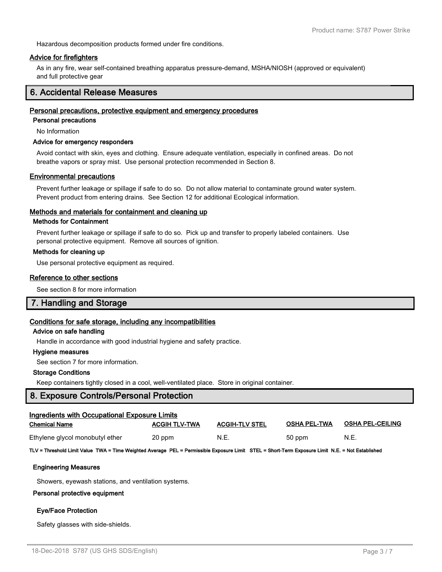Hazardous decomposition products formed under fire conditions.

#### **Advice for firefighters**

As in any fire, wear self-contained breathing apparatus pressure-demand, MSHA/NIOSH (approved or equivalent) and full protective gear

# **6. Accidental Release Measures**

#### **Personal precautions, protective equipment and emergency procedures**

**Personal precautions**

No Information

#### **Advice for emergency responders**

Avoid contact with skin, eyes and clothing. Ensure adequate ventilation, especially in confined areas. Do not breathe vapors or spray mist. Use personal protection recommended in Section 8.

#### **Environmental precautions**

Prevent further leakage or spillage if safe to do so. Do not allow material to contaminate ground water system. Prevent product from entering drains. See Section 12 for additional Ecological information.

#### **Methods and materials for containment and cleaning up**

#### **Methods for Containment**

Prevent further leakage or spillage if safe to do so. Pick up and transfer to properly labeled containers. Use personal protective equipment. Remove all sources of ignition.

#### **Methods for cleaning up**

Use personal protective equipment as required.

#### **Reference to other sections**

See section 8 for more information

### **7. Handling and Storage**

#### **Conditions for safe storage, including any incompatibilities**

# **Advice on safe handling**

Handle in accordance with good industrial hygiene and safety practice.

#### **Hygiene measures**

See section 7 for more information.

#### **Storage Conditions**

Keep containers tightly closed in a cool, well-ventilated place. Store in original container.

### **8. Exposure Controls/Personal Protection**

| Ingredients with Occupational Exposure Limits |                      |                       |                     |                         |  |  |
|-----------------------------------------------|----------------------|-----------------------|---------------------|-------------------------|--|--|
| <b>Chemical Name</b>                          | <b>ACGIH TLV-TWA</b> | <b>ACGIH-TLV STEL</b> | <b>OSHA PEL-TWA</b> | <b>OSHA PEL-CEILING</b> |  |  |
| Ethylene glycol monobutyl ether               | 20 ppm               | N.E.                  | 50 ppm              | N.E.                    |  |  |

**TLV = Threshold Limit Value TWA = Time Weighted Average PEL = Permissible Exposure Limit STEL = Short-Term Exposure Limit N.E. = Not Established**

#### **Engineering Measures**

Showers, eyewash stations, and ventilation systems.

### **Personal protective equipment**

### **Eye/Face Protection**

Safety glasses with side-shields.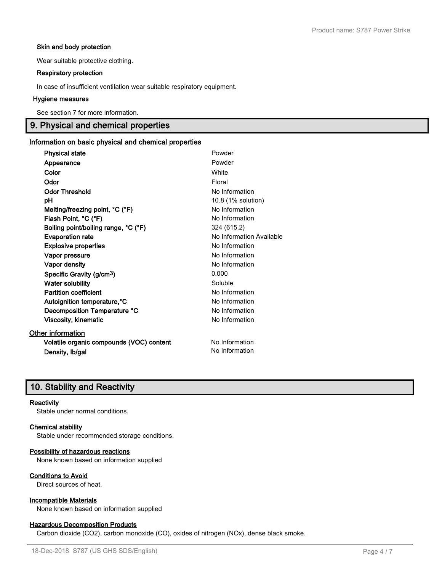#### **Skin and body protection**

Wear suitable protective clothing.

#### **Respiratory protection**

In case of insufficient ventilation wear suitable respiratory equipment.

#### **Hygiene measures**

See section 7 for more information.

# **9. Physical and chemical properties**

#### **Information on basic physical and chemical properties**

| <b>Physical state</b>                    | Powder                   |
|------------------------------------------|--------------------------|
| Appearance                               | Powder                   |
| Color                                    | White                    |
| Odor                                     | Floral                   |
| <b>Odor Threshold</b>                    | No Information           |
| рH                                       | 10.8 (1% solution)       |
| Melting/freezing point, °C (°F)          | No Information           |
| Flash Point, °C (°F)                     | No Information           |
| Boiling point/boiling range, °C (°F)     | 324 (615.2)              |
| <b>Evaporation rate</b>                  | No Information Available |
| <b>Explosive properties</b>              | No Information           |
| Vapor pressure                           | No Information           |
| Vapor density                            | No Information           |
| Specific Gravity (g/cm <sup>3</sup> )    | 0.000                    |
| <b>Water solubility</b>                  | Soluble                  |
| <b>Partition coefficient</b>             | No Information           |
| Autoignition temperature, °C             | No Information           |
| Decomposition Temperature °C             | No Information           |
| Viscosity, kinematic                     | No Information           |
| <b>Other information</b>                 |                          |
| Volatile organic compounds (VOC) content | No Information           |
| Density, Ib/gal                          | No Information           |

# **10. Stability and Reactivity**

#### **Reactivity**

Stable under normal conditions.

#### **Chemical stability**

Stable under recommended storage conditions.

#### **Possibility of hazardous reactions**

None known based on information supplied

#### **Conditions to Avoid**

Direct sources of heat.

# **Incompatible Materials**

None known based on information supplied

#### **Hazardous Decomposition Products**

Carbon dioxide (CO2), carbon monoxide (CO), oxides of nitrogen (NOx), dense black smoke.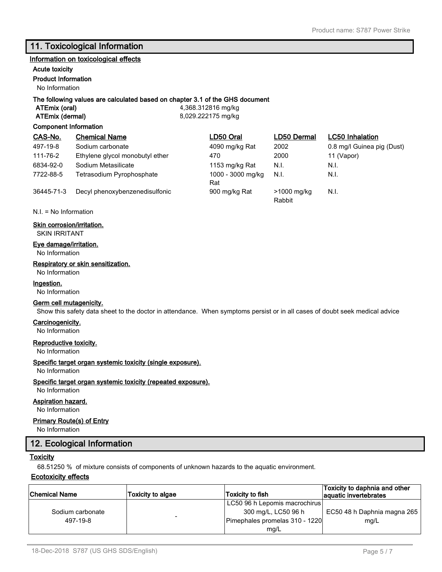# **11. Toxicological Information**

#### **Information on toxicological effects**

# **Acute toxicity**

### **Product Information**

No Information

#### **The following values are calculated based on chapter 3.1 of the GHS document**

**ATEmix (oral)** 4,368.312816 mg/kg **ATEmix (dermal)** 8,029.222175 mg/kg

#### **Component Information**

| CAS-No.    | <b>Chemical Name</b>            | LD50 Oral                | LD50 Dermal           | <b>LC50</b> Inhalation     |
|------------|---------------------------------|--------------------------|-----------------------|----------------------------|
| 497-19-8   | Sodium carbonate                | 4090 mg/kg Rat           | 2002                  | 0.8 mg/l Guinea pig (Dust) |
| 111-76-2   | Ethylene glycol monobutyl ether | 470                      | 2000                  | 11 (Vapor)                 |
| 6834-92-0  | Sodium Metasilicate             | 1153 mg/kg Rat           | N.I.                  | N.I.                       |
| 7722-88-5  | Tetrasodium Pyrophosphate       | 1000 - 3000 mg/kg<br>Rat | N.I.                  | N.I.                       |
| 36445-71-3 | Decyl phenoxybenzenedisulfonic  | 900 mg/kg Rat            | >1000 mg/kg<br>Rabbit | N.I.                       |

N.I. = No Information

#### **Skin corrosion/irritation.**

SKIN IRRITANT

#### **Eye damage/irritation.**

No Information

#### **Respiratory or skin sensitization.**

# No Information

**Ingestion.**

No Information

#### **Germ cell mutagenicity.**

Show this safety data sheet to the doctor in attendance. When symptoms persist or in all cases of doubt seek medical advice

#### **Carcinogenicity.**

No Information

#### **Reproductive toxicity.**

No Information

#### **Specific target organ systemic toxicity (single exposure).**

No Information

#### **Specific target organ systemic toxicity (repeated exposure).**

# No Information

### **Aspiration hazard.**

No Information

#### **Primary Route(s) of Entry**

No Information

# **12. Ecological Information**

#### **Toxicity**

68.51250 % of mixture consists of components of unknown hazards to the aquatic environment.

#### **Ecotoxicity effects**

| <b>Chemical Name</b> | <b>Toxicity to algae</b> | Toxicity to fish               | Toxicity to daphnia and other<br>aquatic invertebrates |
|----------------------|--------------------------|--------------------------------|--------------------------------------------------------|
|                      |                          | LC50 96 h Lepomis macrochirus  |                                                        |
| Sodium carbonate     |                          | 300 mg/L, LC50 96 h            | EC50 48 h Daphnia magna 265                            |
| 497-19-8             |                          | Pimephales promelas 310 - 1220 | mq/L                                                   |
|                      |                          | mg/L                           |                                                        |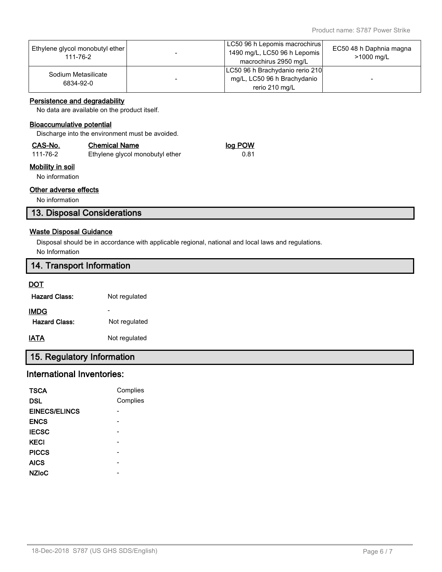| Ethylene glycol monobutyl ether<br>111-76-2 | LC50 96 h Lepomis macrochirus<br>1490 mg/L, LC50 96 h Lepomis<br>macrochirus 2950 mg/L | EC50 48 h Daphnia magna<br>>1000 mg/L |
|---------------------------------------------|----------------------------------------------------------------------------------------|---------------------------------------|
| Sodium Metasilicate<br>6834-92-0            | LC50 96 h Brachydanio rerio 210<br>mg/L, LC50 96 h Brachydanio<br>rerio 210 mg/L       | -                                     |

#### **Persistence and degradability**

No data are available on the product itself.

### **Bioaccumulative potential**

Discharge into the environment must be avoided.

| CAS-No.<br><b>Chemical Name</b> |                                 | log POW |
|---------------------------------|---------------------------------|---------|
| 111-76-2                        | Ethylene glycol monobutyl ether | 0.81    |

# **Mobility in soil**

No information

#### **Other adverse effects**

No information

# **13. Disposal Considerations**

# **Waste Disposal Guidance**

Disposal should be in accordance with applicable regional, national and local laws and regulations. No Information

# **14. Transport Information**

#### **DOT**

| <b>Hazard Class:</b> | Not regulated |
|----------------------|---------------|
| <b>IMDG</b>          |               |
| Hazard Class:        | Not regulated |
| IATA                 | Not regulated |

# **15. Regulatory Information**

# **International Inventories:**

| <b>TSCA</b>          | Complies |
|----------------------|----------|
| DSL                  | Complies |
| <b>EINECS/ELINCS</b> |          |
| <b>ENCS</b>          |          |
| <b>IECSC</b>         |          |
| <b>KECI</b>          |          |
| <b>PICCS</b>         |          |
| <b>AICS</b>          |          |
| <b>NZIoC</b>         |          |